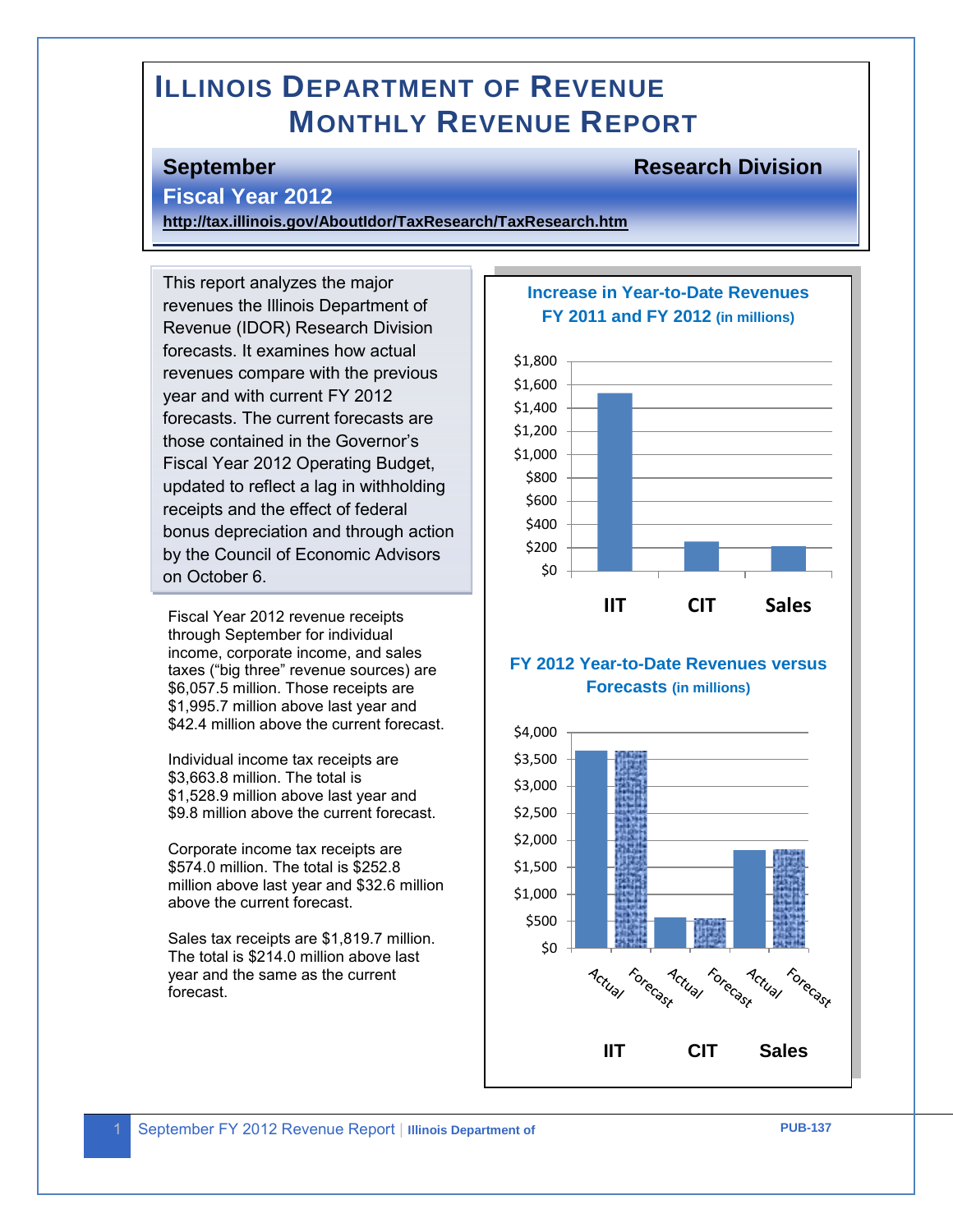# **ILLINOIS DEPARTMENT OF REVENUE MONTHLY REVENUE REPORT**

### **September Research Division**

#### **Fiscal Year 2012**

**<http://tax.illinois.gov/AboutIdor/TaxResearch/TaxResearch.htm>**

This report analyzes the major revenues the Illinois Department of Revenue (IDOR) Research Division forecasts. It examines how actual revenues compare with the previous year and with current FY 2012 forecasts. The current forecasts are those contained in the Governor's Fiscal Year 2012 Operating Budget, updated to reflect a lag in withholding receipts and the effect of federal bonus depreciation and through action by the Council of Economic Advisors on October 6.

Fiscal Year 2012 revenue receipts through September for individual income, corporate income, and sales taxes ("big three" revenue sources) are \$6,057.5 million. Those receipts are \$1,995.7 million above last year and \$42.4 million above the current forecast.

Individual income tax receipts are \$3,663.8 million. The total is \$1,528.9 million above last year and \$9.8 million above the current forecast.

Corporate income tax receipts are \$574.0 million. The total is \$252.8 million above last year and \$32.6 million above the current forecast.

Sales tax receipts are \$1,819.7 million. The total is \$214.0 million above last year and the same as the current forecast.

#### **Increase in Year-to-Date Revenues FY 2011 and FY 2012 (in millions)**



### **FY 2012 Year-to-Date Revenues versus Forecasts (in millions)**



**Revenue**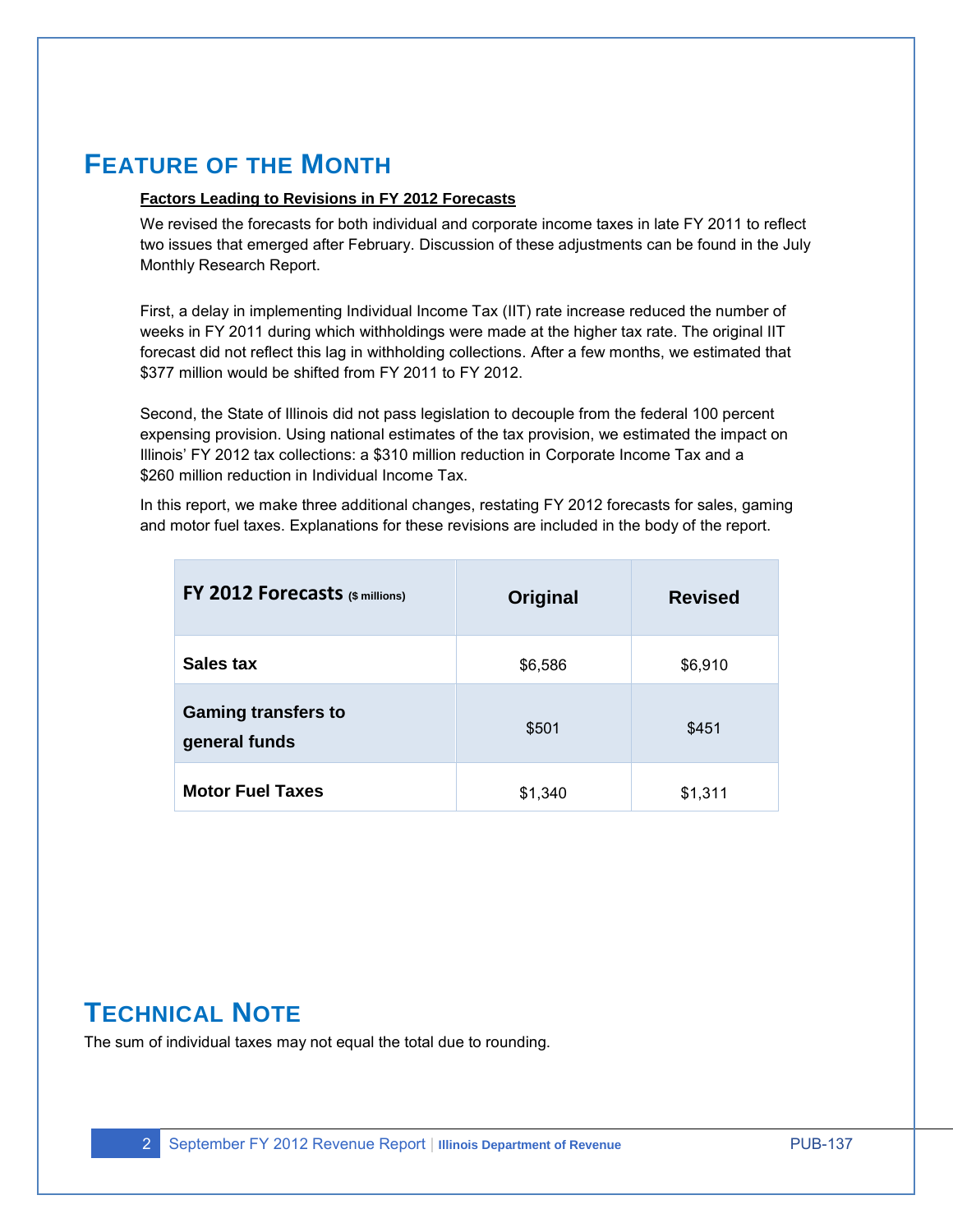# **FEATURE OF THE MONTH**

#### **Factors Leading to Revisions in FY 2012 Forecasts**

We revised the forecasts for both individual and corporate income taxes in late FY 2011 to reflect two issues that emerged after February. Discussion of these adjustments can be found in the July Monthly Research Report.

First, a delay in implementing Individual Income Tax (IIT) rate increase reduced the number of weeks in FY 2011 during which withholdings were made at the higher tax rate. The original IIT forecast did not reflect this lag in withholding collections. After a few months, we estimated that \$377 million would be shifted from FY 2011 to FY 2012.

Second, the State of Illinois did not pass legislation to decouple from the federal 100 percent expensing provision. Using national estimates of the tax provision, we estimated the impact on Illinois' FY 2012 tax collections: a \$310 million reduction in Corporate Income Tax and a \$260 million reduction in Individual Income Tax.

In this report, we make three additional changes, restating FY 2012 forecasts for sales, gaming and motor fuel taxes. Explanations for these revisions are included in the body of the report.

| FY 2012 Forecasts (\$ millions)             | Original | <b>Revised</b> |
|---------------------------------------------|----------|----------------|
| Sales tax                                   | \$6,586  | \$6,910        |
| <b>Gaming transfers to</b><br>general funds | \$501    | \$451          |
| <b>Motor Fuel Taxes</b>                     | \$1,340  | \$1,311        |

# **TECHNICAL NOTE**

The sum of individual taxes may not equal the total due to rounding.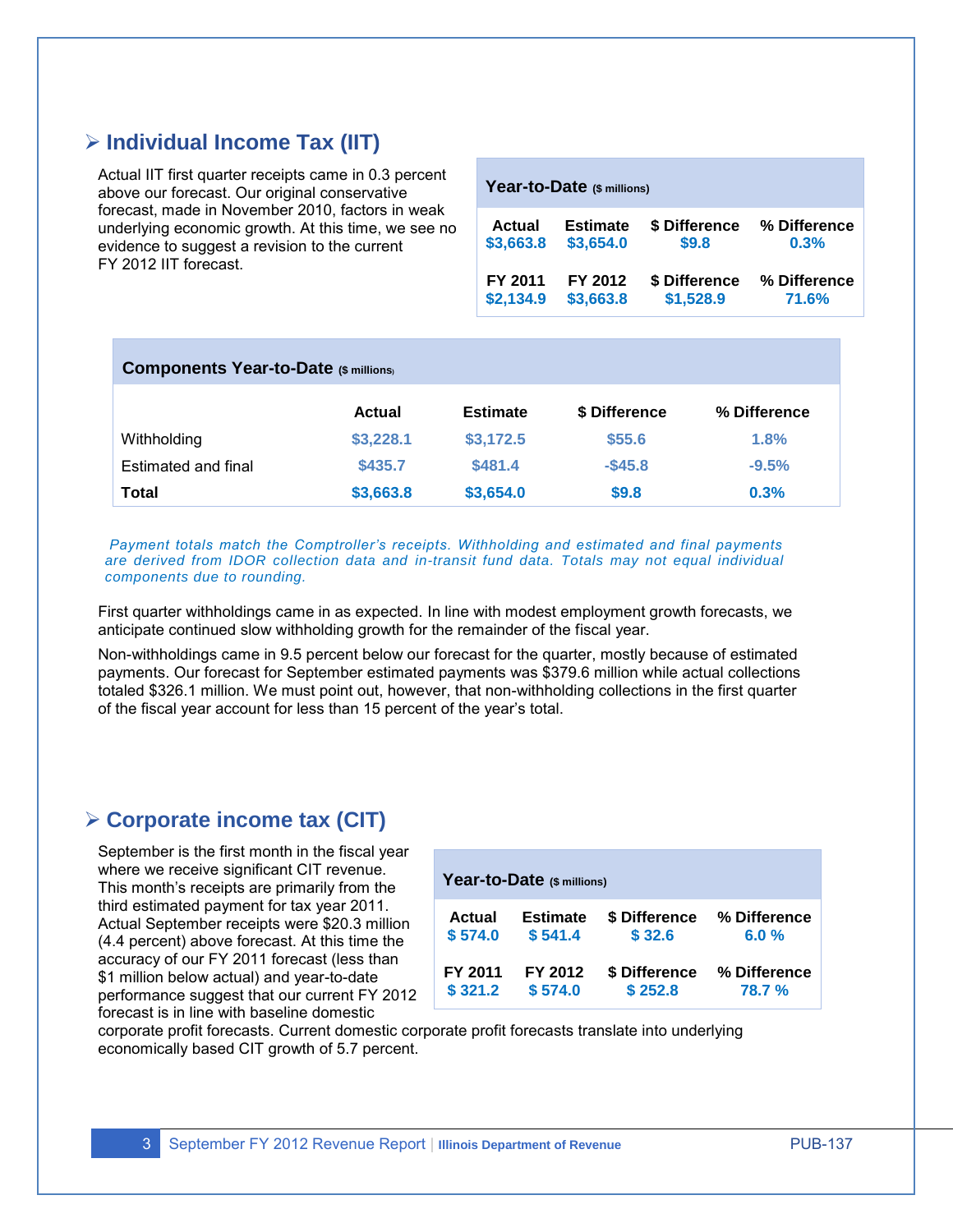# **Individual Income Tax (IIT)**

Actual IIT first quarter receipts came in 0.3 percent above our forecast. Our original conservative forecast, made in November 2010, factors in weak underlying economic growth. At this time, we see no evidence to suggest a revision to the current FY 2012 IIT forecast.

| Year-to-Date (\$ millions) |                 |               |              |  |  |  |
|----------------------------|-----------------|---------------|--------------|--|--|--|
| <b>Actual</b>              | <b>Estimate</b> | \$ Difference | % Difference |  |  |  |
| \$3,663.8                  | \$3,654.0       | \$9.8         | 0.3%         |  |  |  |
| FY 2011                    | FY 2012         | \$ Difference | % Difference |  |  |  |
| \$2,134.9                  | \$3,663.8       | \$1,528.9     | 71.6%        |  |  |  |

| <b>Components Year-to-Date (\$ millions)</b> |           |                 |               |              |  |
|----------------------------------------------|-----------|-----------------|---------------|--------------|--|
|                                              | Actual    | <b>Estimate</b> | \$ Difference | % Difference |  |
| Withholding                                  | \$3,228.1 | \$3,172.5       | \$55.6        | 1.8%         |  |
| Estimated and final                          | \$435.7   | \$481.4         | $-$ \$45.8    | $-9.5%$      |  |
| <b>Total</b>                                 | \$3,663.8 | \$3,654.0       | \$9.8         | 0.3%         |  |

*Payment totals match the Comptroller's receipts. Withholding and estimated and final payments are derived from IDOR collection data and in-transit fund data. Totals may not equal individual components due to rounding.* 

First quarter withholdings came in as expected. In line with modest employment growth forecasts, we anticipate continued slow withholding growth for the remainder of the fiscal year.

Non-withholdings came in 9.5 percent below our forecast for the quarter, mostly because of estimated payments. Our forecast for September estimated payments was \$379.6 million while actual collections totaled \$326.1 million. We must point out, however, that non-withholding collections in the first quarter of the fiscal year account for less than 15 percent of the year's total.

# **Corporate income tax (CIT)**

September is the first month in the fiscal year where we receive significant CIT revenue. This month's receipts are primarily from the third estimated payment for tax year 2011. Actual September receipts were \$20.3 million (4.4 percent) above forecast. At this time the accuracy of our FY 2011 forecast (less than \$1 million below actual) and year-to-date performance suggest that our current FY 2012 forecast is in line with baseline domestic

| Year-to-Date (\$ millions) |                 |               |              |  |  |  |
|----------------------------|-----------------|---------------|--------------|--|--|--|
| <b>Actual</b>              | <b>Estimate</b> | \$ Difference | % Difference |  |  |  |
| \$574.0                    | \$541.4         | \$32.6        | 6.0%         |  |  |  |
| FY 2011                    | FY 2012         | \$ Difference | % Difference |  |  |  |
| \$321.2                    | \$574.0         | \$252.8       | 78.7 %       |  |  |  |

corporate profit forecasts. Current domestic corporate profit forecasts translate into underlying economically based CIT growth of 5.7 percent.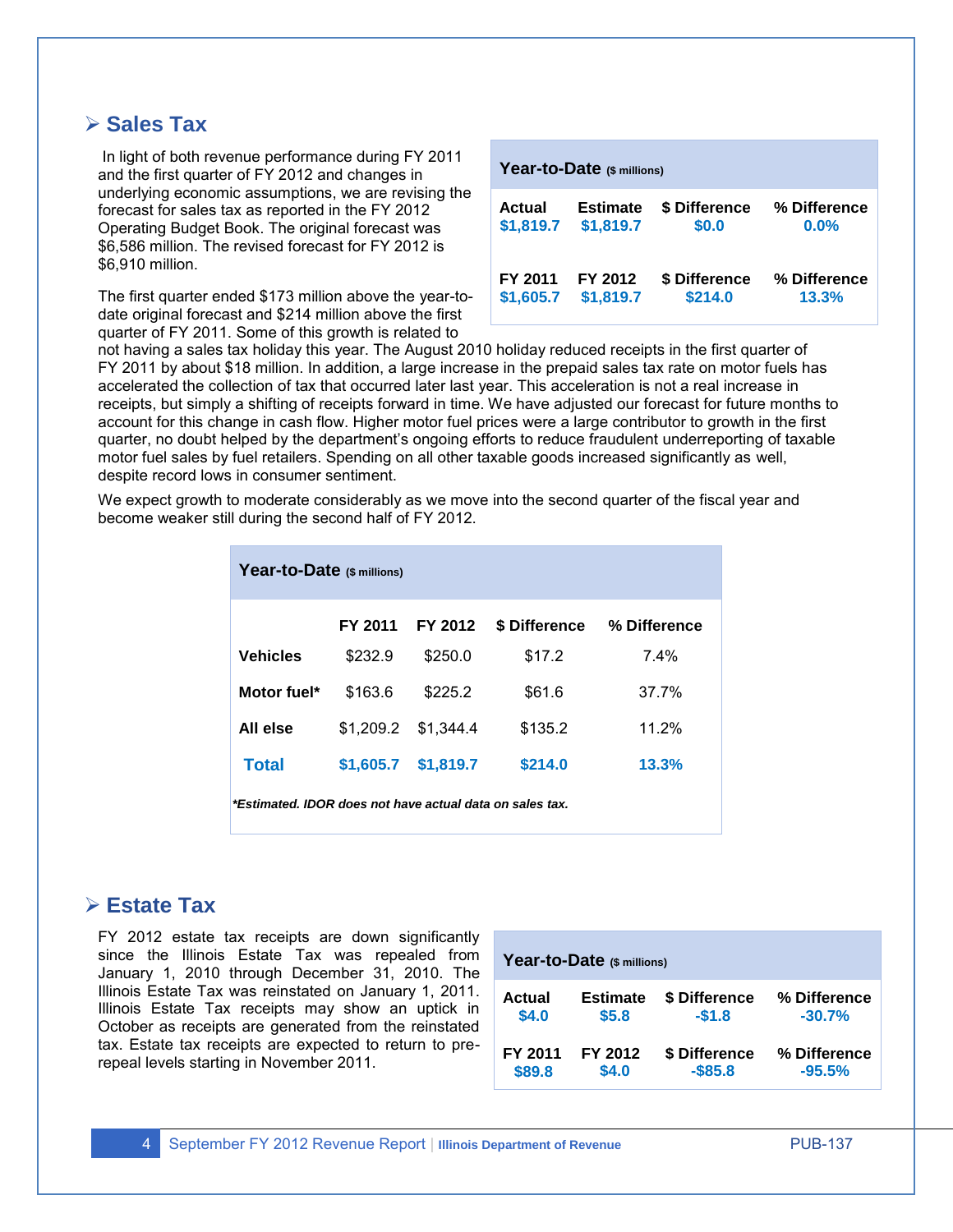# **Sales Tax**

In light of both revenue performance during FY 2011 and the first quarter of FY 2012 and changes in underlying economic assumptions, we are revising the forecast for sales tax as reported in the FY 2012 Operating Budget Book. The original forecast was \$6,586 million. The revised forecast for FY 2012 is \$6,910 million.

The first quarter ended \$173 million above the year-todate original forecast and \$214 million above the first quarter of FY 2011. Some of this growth is related to

| Year-to-Date (\$ millions) |                 |               |              |  |  |
|----------------------------|-----------------|---------------|--------------|--|--|
| <b>Actual</b>              | <b>Estimate</b> | \$ Difference | % Difference |  |  |
| \$1,819.7                  | \$1,819.7       | \$0.0         | 0.0%         |  |  |
| FY 2011                    | FY 2012         | \$ Difference | % Difference |  |  |
| \$1,605.7                  | \$1,819.7       | \$214.0       | 13.3%        |  |  |

not having a sales tax holiday this year. The August 2010 holiday reduced receipts in the first quarter of FY 2011 by about \$18 million. In addition, a large increase in the prepaid sales tax rate on motor fuels has accelerated the collection of tax that occurred later last year. This acceleration is not a real increase in receipts, but simply a shifting of receipts forward in time. We have adjusted our forecast for future months to account for this change in cash flow. Higher motor fuel prices were a large contributor to growth in the first quarter, no doubt helped by the department's ongoing efforts to reduce fraudulent underreporting of taxable motor fuel sales by fuel retailers. Spending on all other taxable goods increased significantly as well, despite record lows in consumer sentiment.

We expect growth to moderate considerably as we move into the second quarter of the fiscal year and become weaker still during the second half of FY 2012.

| Year-to-Date (\$ millions)                               |           |           |               |              |  |  |  |
|----------------------------------------------------------|-----------|-----------|---------------|--------------|--|--|--|
|                                                          | FY 2011   | FY 2012   | \$ Difference | % Difference |  |  |  |
| <b>Vehicles</b>                                          | \$232.9   | \$250.0   | \$17.2        | $7.4\%$      |  |  |  |
| Motor fuel*                                              | \$163.6   | \$225.2   | \$61.6        | 37.7%        |  |  |  |
| All else                                                 | \$1.209.2 | \$1.344.4 | \$135.2       | 11.2%        |  |  |  |
| <b>Total</b>                                             | \$1,605.7 | \$1,819.7 | \$214.0       | 13.3%        |  |  |  |
| *Estimated. IDOR does not have actual data on sales tax. |           |           |               |              |  |  |  |

### **Estate Tax**

FY 2012 estate tax receipts are down significantly since the Illinois Estate Tax was repealed from January 1, 2010 through December 31, 2010. The Illinois Estate Tax was reinstated on January 1, 2011. Illinois Estate Tax receipts may show an uptick in October as receipts are generated from the reinstated tax. Estate tax receipts are expected to return to prerepeal levels starting in November 2011.

| Year-to-Date (\$ millions) |                 |               |              |  |  |  |
|----------------------------|-----------------|---------------|--------------|--|--|--|
| Actual                     | <b>Estimate</b> | \$ Difference | % Difference |  |  |  |
| \$4.0                      | \$5.8           | $-$1.8$       | $-30.7%$     |  |  |  |
| FY 2011                    | FY 2012         | \$ Difference | % Difference |  |  |  |
| \$89.8                     | \$4.0           | $-$ \$85.8    | $-95.5\%$    |  |  |  |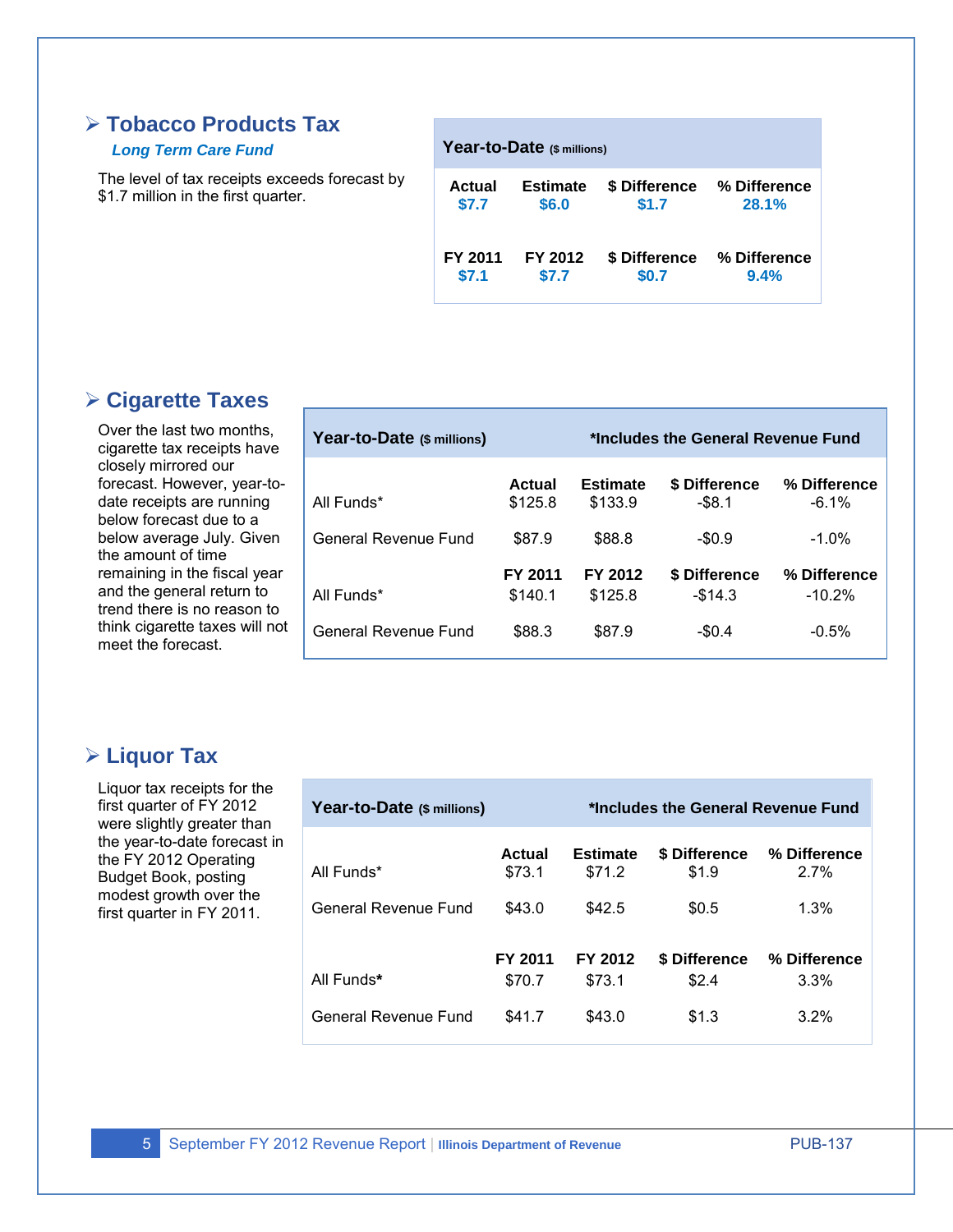# **Tobacco Products Tax**

#### *Long Term Care Fund*

The level of tax receipts exceeds forecast by \$1.7 million in the first quarter.

| Year-to-Date (\$ millions) |                 |               |              |  |  |  |
|----------------------------|-----------------|---------------|--------------|--|--|--|
| Actual                     | <b>Estimate</b> | \$ Difference | % Difference |  |  |  |
| \$7.7                      | \$6.0           | \$1.7         | 28.1%        |  |  |  |
| FY 2011                    | FY 2012         | \$ Difference | % Difference |  |  |  |
| \$7.1                      | \$7.7           | \$0.7         | 9.4%         |  |  |  |

# **Cigarette Taxes**

Over the last two months, cigarette tax receipts have closely mirrored our forecast. However, year-todate receipts are running below forecast due to a below average July. Given the amount of time remaining in the fiscal year and the general return to trend there is no reason to think cigarette taxes will not meet the forecast.

| Year-to-Date (\$ millions) | *Includes the General Revenue Fund |                            |                            |                           |
|----------------------------|------------------------------------|----------------------------|----------------------------|---------------------------|
| All Funds*                 | Actual<br>\$125.8                  | <b>Estimate</b><br>\$133.9 | \$ Difference<br>$-$ \$8.1 | % Difference<br>$-6.1\%$  |
| General Revenue Fund       | \$87.9                             | \$88.8                     | $-$0.9$                    | $-1.0\%$                  |
| All Funds*                 | FY 2011<br>\$140.1                 | FY 2012<br>\$125.8         | \$ Difference<br>$-$14.3$  | % Difference<br>$-10.2\%$ |
| General Revenue Fund       | \$88.3                             | \$87.9                     | $-$0.4$                    | $-0.5%$                   |

# **Liquor Tax**

Liquor tax receipts for the first quarter of FY 2012 were slightly greater than the year-to-date forecast in the FY 2012 Operating Budget Book, posting modest growth over the first quarter in FY 2011.

| Year-to-Date (\$ millions) | *Includes the General Revenue Fund |                           |                        |                      |
|----------------------------|------------------------------------|---------------------------|------------------------|----------------------|
| All Funds*                 | Actual<br>\$73.1                   | <b>Estimate</b><br>\$71.2 | \$ Difference<br>\$1.9 | % Difference<br>2.7% |
| General Revenue Fund       | \$43.0                             | \$42.5                    | \$0.5                  | 1.3%                 |
| All Funds*                 | FY 2011<br>\$70.7                  | FY 2012<br>\$73.1         | \$ Difference<br>\$2.4 | % Difference<br>3.3% |
| General Revenue Fund       | \$41.7                             | \$43.0                    | \$1.3                  | 3.2%                 |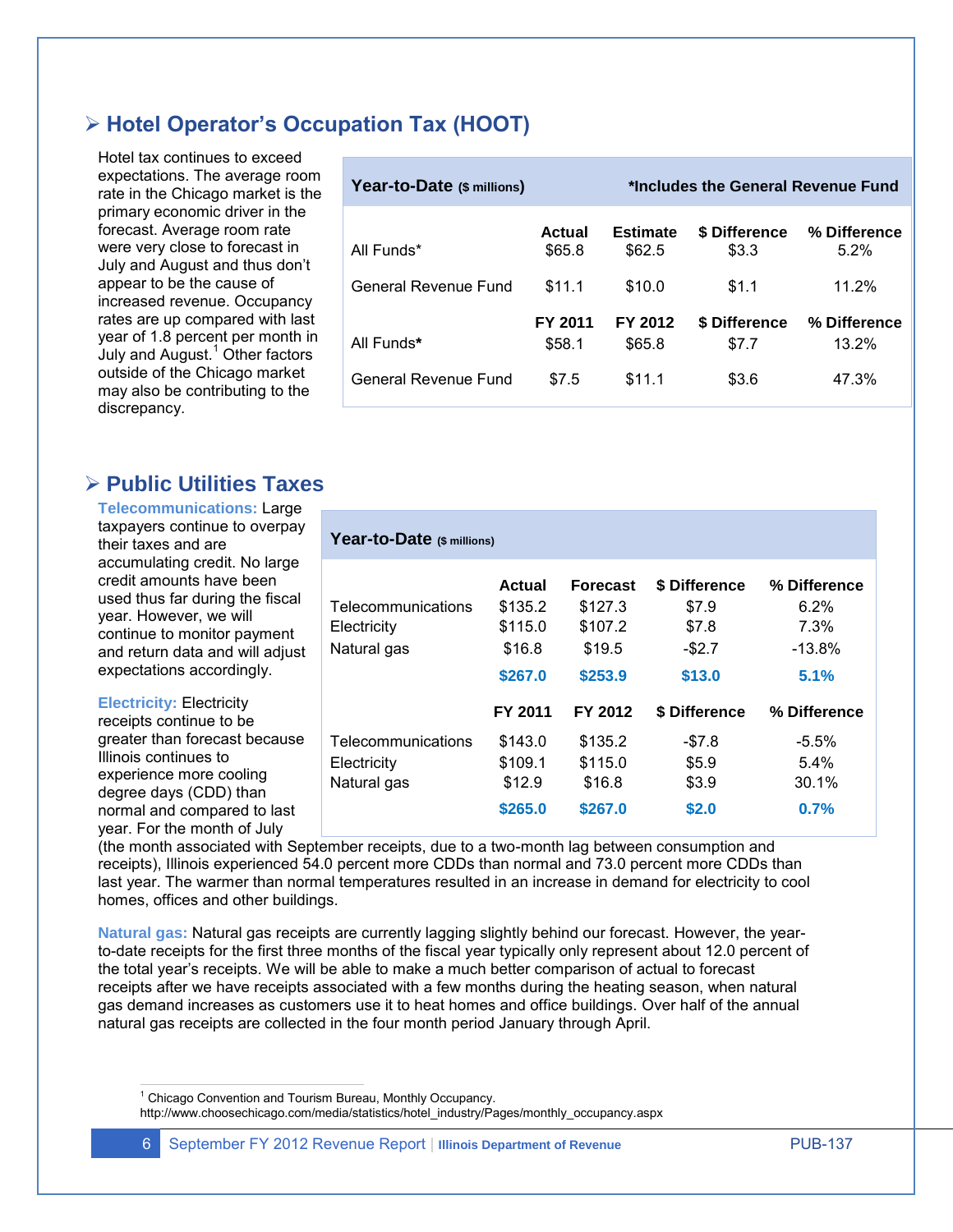# **Hotel Operator's Occupation Tax (HOOT)**

Hotel tax continues to exceed expectations. The average room rate in the Chicago market is the primary economic driver in the forecast. Average room rate were very close to forecast in July and August and thus don't appear to be the cause of increased revenue. Occupancy rates are up compared with last year of 1.8 percent per month in July and August. $<sup>1</sup>$  Other factors</sup> outside of the Chicago market may also be contributing to the discrepancy.

| Year-to-Date (\$ millions) | *Includes the General Revenue Fund |                           |                               |                         |
|----------------------------|------------------------------------|---------------------------|-------------------------------|-------------------------|
| All Funds*                 | Actual<br>\$65.8                   | <b>Estimate</b><br>\$62.5 | <b>\$ Difference</b><br>\$3.3 | % Difference<br>$5.2\%$ |
| General Revenue Fund       | \$11.1                             | \$10.0                    | \$1.1                         | 11.2%                   |
| All Funds*                 | FY 2011<br>\$58.1                  | FY 2012<br>\$65.8         | \$ Difference<br>\$7.7        | % Difference<br>13.2%   |
| General Revenue Fund       | \$7.5                              | \$11.1                    | \$3.6                         | 47.3%                   |

# **Public Utilities Taxes**

**Telecommunications:** Large taxpayers continue to overpay their taxes and are accumulating credit. No large credit amounts have been used thus far during the fiscal year. However, we will continue to monitor payment and return data and will adjust expectations accordingly.

**Electricity:** Electricity

receipts continue to be greater than forecast because Illinois continues to experience more cooling degree days (CDD) than normal and compared to last year. For the month of July

| Year-to-Date (\$ millions)                        |                                                     |                                                        |                                                      |  |  |  |
|---------------------------------------------------|-----------------------------------------------------|--------------------------------------------------------|------------------------------------------------------|--|--|--|
| Actual<br>\$135.2<br>\$115.0<br>\$16.8<br>\$267.0 | Forecast<br>\$127.3<br>\$107.2<br>\$19.5<br>\$253.9 | \$ Difference<br>\$7.9<br>\$7.8<br>$-$ \$2.7<br>\$13.0 | % Difference<br>$6.2\%$<br>7.3%<br>$-13.8\%$<br>5.1% |  |  |  |
| FY 2011                                           | FY 2012                                             | \$ Difference                                          | % Difference                                         |  |  |  |
| \$143.0<br>\$109.1<br>\$12.9<br>\$265.0           | \$135.2<br>\$115.0<br>\$16.8<br>\$267.0             | -\$7.8<br>\$5.9<br>\$3.9<br>\$2.0                      | $-5.5\%$<br>$5.4\%$<br>30.1%<br>0.7%                 |  |  |  |
|                                                   |                                                     |                                                        |                                                      |  |  |  |

(the month associated with September receipts, due to a two-month lag between consumption and receipts), Illinois experienced 54.0 percent more CDDs than normal and 73.0 percent more CDDs than last year. The warmer than normal temperatures resulted in an increase in demand for electricity to cool homes, offices and other buildings.

**Natural gas:** Natural gas receipts are currently lagging slightly behind our forecast. However, the yearto-date receipts for the first three months of the fiscal year typically only represent about 12.0 percent of the total year's receipts. We will be able to make a much better comparison of actual to forecast receipts after we have receipts associated with a few months during the heating season, when natural gas demand increases as customers use it to heat homes and office buildings. Over half of the annual natural gas receipts are collected in the four month period January through April.

 $\overline{a}$ <sup>1</sup> Chicago Convention and Tourism Bureau, Monthly Occupancy.

http://www.choosechicago.com/media/statistics/hotel\_industry/Pages/monthly\_occupancy.aspx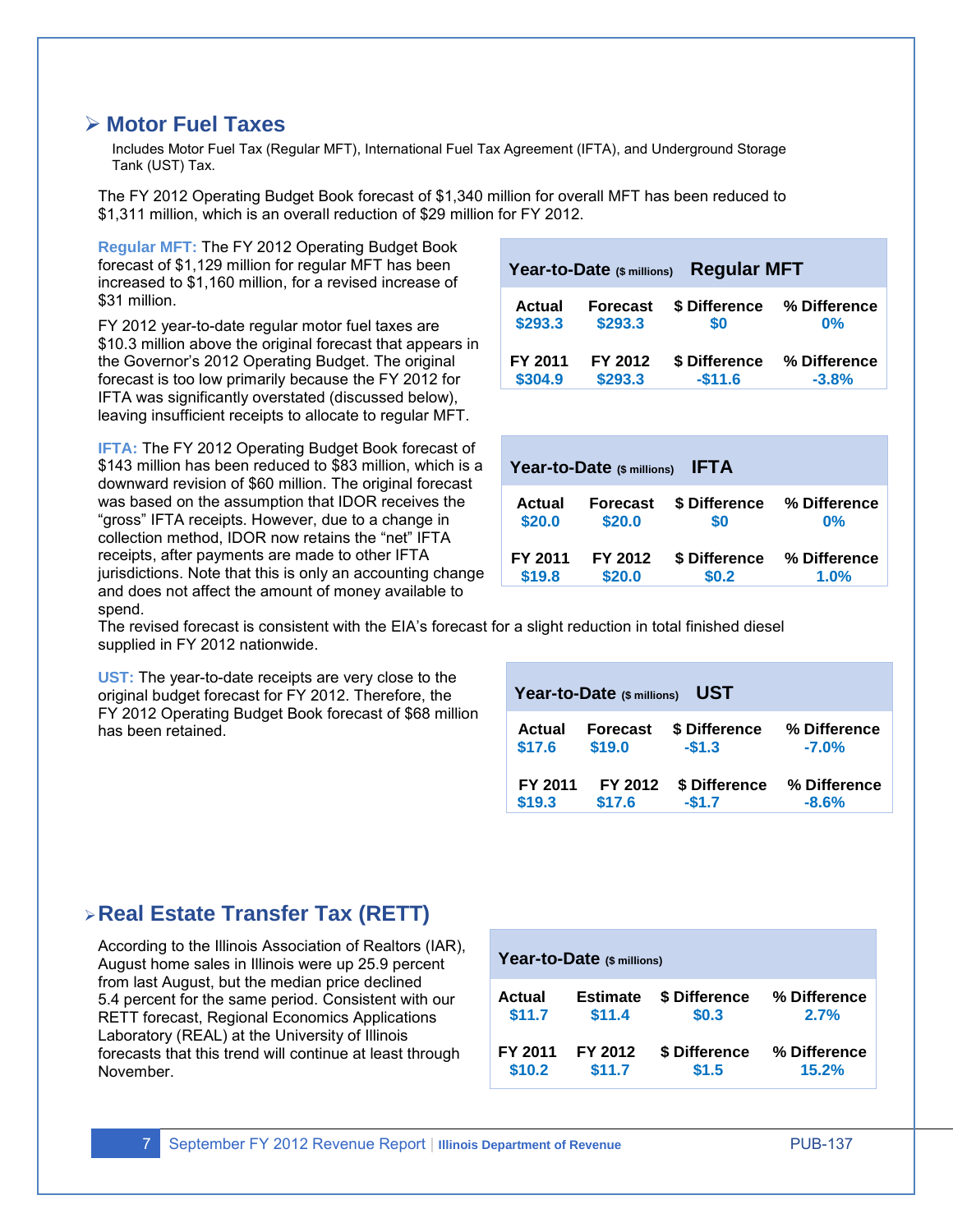### **Motor Fuel Taxes**

Includes Motor Fuel Tax (Regular MFT), International Fuel Tax Agreement (IFTA), and Underground Storage Tank (UST) Tax.

The FY 2012 Operating Budget Book forecast of \$1,340 million for overall MFT has been reduced to \$1,311 million, which is an overall reduction of \$29 million for FY 2012.

**Regular MFT:** The FY 2012 Operating Budget Book forecast of \$1,129 million for regular MFT has been increased to \$1,160 million, for a revised increase of \$31 million.

FY 2012 year-to-date regular motor fuel taxes are \$10.3 million above the original forecast that appears in the Governor's 2012 Operating Budget. The original forecast is too low primarily because the FY 2012 for IFTA was significantly overstated (discussed below), leaving insufficient receipts to allocate to regular MFT.

**IFTA:** The FY 2012 Operating Budget Book forecast of \$143 million has been reduced to \$83 million, which is a downward revision of \$60 million. The original forecast was based on the assumption that IDOR receives the "gross" IFTA receipts. However, due to a change in collection method, IDOR now retains the "net" IFTA receipts, after payments are made to other IFTA jurisdictions. Note that this is only an accounting change and does not affect the amount of money available to spend.

| <b>Regular MFT</b><br>Year-to-Date (\$ millions) |                 |               |              |  |  |  |  |  |
|--------------------------------------------------|-----------------|---------------|--------------|--|--|--|--|--|
| Actual                                           | <b>Forecast</b> | \$ Difference | % Difference |  |  |  |  |  |
| \$293.3                                          | \$293.3         | \$0           | $0\%$        |  |  |  |  |  |
| FY 2011                                          | FY 2012         | \$ Difference | % Difference |  |  |  |  |  |
| \$304.9                                          | \$293.3         | $-$11.6$      | $-3.8%$      |  |  |  |  |  |

| <b>IFTA</b><br>Year-to-Date (\$ millions) |          |               |              |  |  |  |  |  |  |
|-------------------------------------------|----------|---------------|--------------|--|--|--|--|--|--|
| Actual                                    | Forecast | \$ Difference | % Difference |  |  |  |  |  |  |
| \$20.0                                    | \$20.0   | \$0           | $0\%$        |  |  |  |  |  |  |
| FY 2011                                   | FY 2012  | \$ Difference | % Difference |  |  |  |  |  |  |
| \$19.8                                    | \$20.0   | \$0.2         | 1.0%         |  |  |  |  |  |  |

The revised forecast is consistent with the EIA's forecast for a slight reduction in total finished diesel supplied in FY 2012 nationwide.

**UST:** The year-to-date receipts are very close to the original budget forecast for FY 2012. Therefore, the FY 2012 Operating Budget Book forecast of \$68 million has been retained.

| <b>UST</b><br>Year-to-Date (\$ millions) |                 |               |              |  |  |  |  |  |
|------------------------------------------|-----------------|---------------|--------------|--|--|--|--|--|
| Actual                                   | <b>Forecast</b> | \$ Difference | % Difference |  |  |  |  |  |
| \$17.6                                   | \$19.0          | $-$1.3$       | $-7.0%$      |  |  |  |  |  |
| FY 2011                                  | FY 2012         | \$ Difference | % Difference |  |  |  |  |  |
| \$19.3                                   | \$17.6          | $-$1.7$       | $-8.6%$      |  |  |  |  |  |

# **Real Estate Transfer Tax (RETT)**

According to the Illinois Association of Realtors (IAR), August home sales in Illinois were up 25.9 percent from last August, but the median price declined 5.4 percent for the same period. Consistent with our RETT forecast, Regional Economics Applications Laboratory (REAL) at the University of Illinois forecasts that this trend will continue at least through November.

| Year-to-Date (\$ millions) |                 |               |              |  |  |  |  |  |
|----------------------------|-----------------|---------------|--------------|--|--|--|--|--|
| Actual                     | <b>Estimate</b> | \$ Difference | % Difference |  |  |  |  |  |
| \$11.7                     | \$11.4          | \$0.3         | 2.7%         |  |  |  |  |  |
| FY 2011                    | FY 2012         | \$ Difference | % Difference |  |  |  |  |  |
| \$10.2                     | \$11.7          | \$1.5         | 15.2%        |  |  |  |  |  |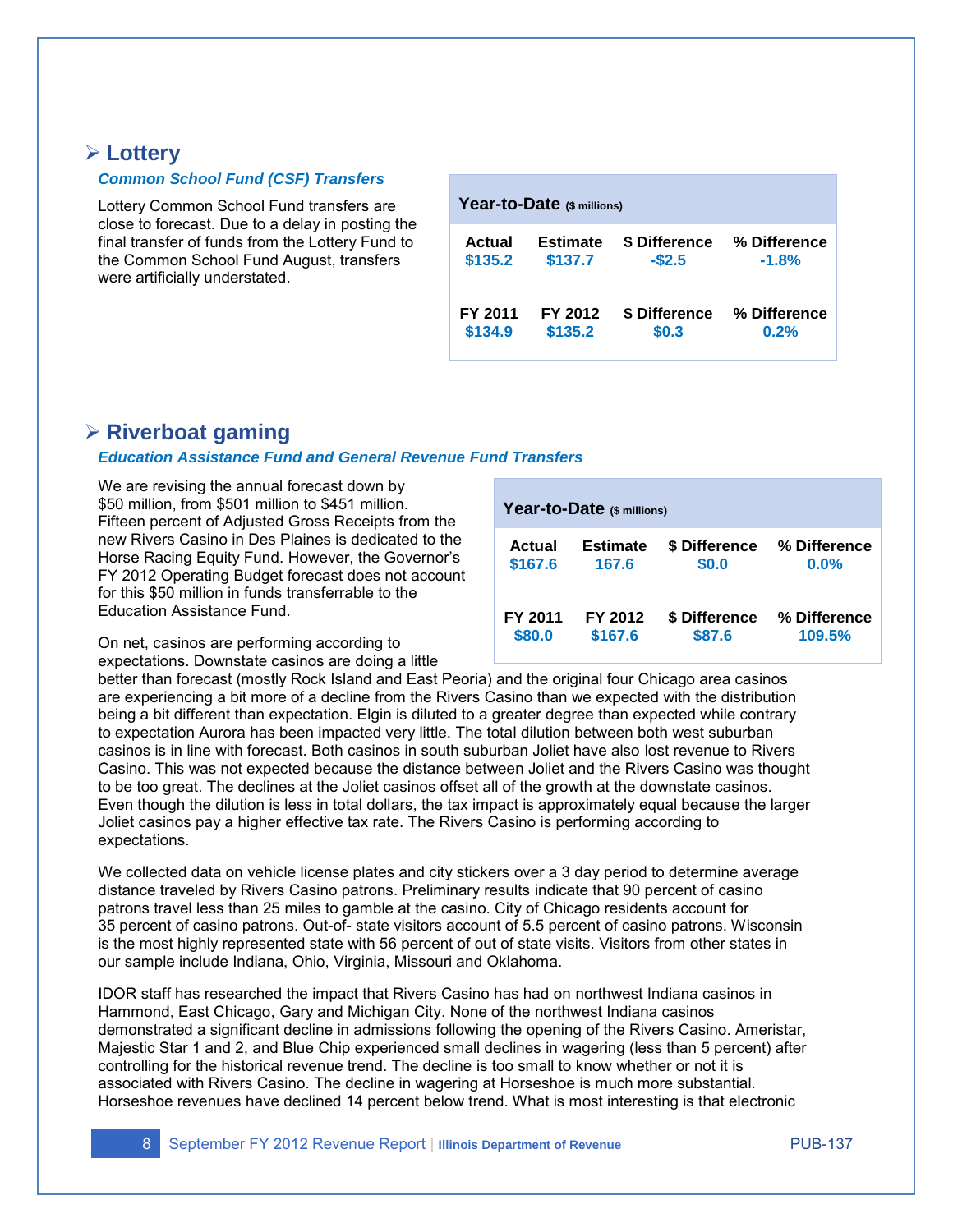### **Lottery**

#### *Common School Fund (CSF) Transfers*

Lottery Common School Fund transfers are close to forecast. Due to a delay in posting the final transfer of funds from the Lottery Fund to the Common School Fund August, transfers were artificially understated.

| Year-to-Date (\$ millions) |                 |               |              |  |  |  |  |  |  |
|----------------------------|-----------------|---------------|--------------|--|--|--|--|--|--|
| Actual                     | <b>Estimate</b> | \$ Difference | % Difference |  |  |  |  |  |  |
| \$135.2                    | \$137.7         | $-$2.5$       | $-1.8%$      |  |  |  |  |  |  |
| FY 2011                    | FY 2012         | \$ Difference | % Difference |  |  |  |  |  |  |
| \$134.9                    | \$135.2         | \$0.3         | 0.2%         |  |  |  |  |  |  |

# **Riverboat gaming**

#### *Education Assistance Fund and General Revenue Fund Transfers*

We are revising the annual forecast down by \$50 million, from \$501 million to \$451 million. Fifteen percent of Adjusted Gross Receipts from the new Rivers Casino in Des Plaines is dedicated to the Horse Racing Equity Fund. However, the Governor's FY 2012 Operating Budget forecast does not account for this \$50 million in funds transferrable to the Education Assistance Fund.

On net, casinos are performing according to expectations. Downstate casinos are doing a little

| Year-to-Date (\$ millions) |                 |               |              |  |  |  |  |  |
|----------------------------|-----------------|---------------|--------------|--|--|--|--|--|
| Actual                     | <b>Estimate</b> | \$ Difference | % Difference |  |  |  |  |  |
| \$167.6                    | 167.6           | \$0.0         | 0.0%         |  |  |  |  |  |
| FY 2011                    | FY 2012         | \$ Difference | % Difference |  |  |  |  |  |
| \$80.0                     | \$167.6         | \$87.6        | 109.5%       |  |  |  |  |  |

better than forecast (mostly Rock Island and East Peoria) and the original four Chicago area casinos are experiencing a bit more of a decline from the Rivers Casino than we expected with the distribution being a bit different than expectation. Elgin is diluted to a greater degree than expected while contrary to expectation Aurora has been impacted very little. The total dilution between both west suburban casinos is in line with forecast. Both casinos in south suburban Joliet have also lost revenue to Rivers Casino. This was not expected because the distance between Joliet and the Rivers Casino was thought to be too great. The declines at the Joliet casinos offset all of the growth at the downstate casinos. Even though the dilution is less in total dollars, the tax impact is approximately equal because the larger Joliet casinos pay a higher effective tax rate. The Rivers Casino is performing according to expectations.

We collected data on vehicle license plates and city stickers over a 3 day period to determine average distance traveled by Rivers Casino patrons. Preliminary results indicate that 90 percent of casino patrons travel less than 25 miles to gamble at the casino. City of Chicago residents account for 35 percent of casino patrons. Out-of- state visitors account of 5.5 percent of casino patrons. Wisconsin is the most highly represented state with 56 percent of out of state visits. Visitors from other states in our sample include Indiana, Ohio, Virginia, Missouri and Oklahoma.

IDOR staff has researched the impact that Rivers Casino has had on northwest Indiana casinos in Hammond, East Chicago, Gary and Michigan City. None of the northwest Indiana casinos demonstrated a significant decline in admissions following the opening of the Rivers Casino. Ameristar, Majestic Star 1 and 2, and Blue Chip experienced small declines in wagering (less than 5 percent) after controlling for the historical revenue trend. The decline is too small to know whether or not it is associated with Rivers Casino. The decline in wagering at Horseshoe is much more substantial. Horseshoe revenues have declined 14 percent below trend. What is most interesting is that electronic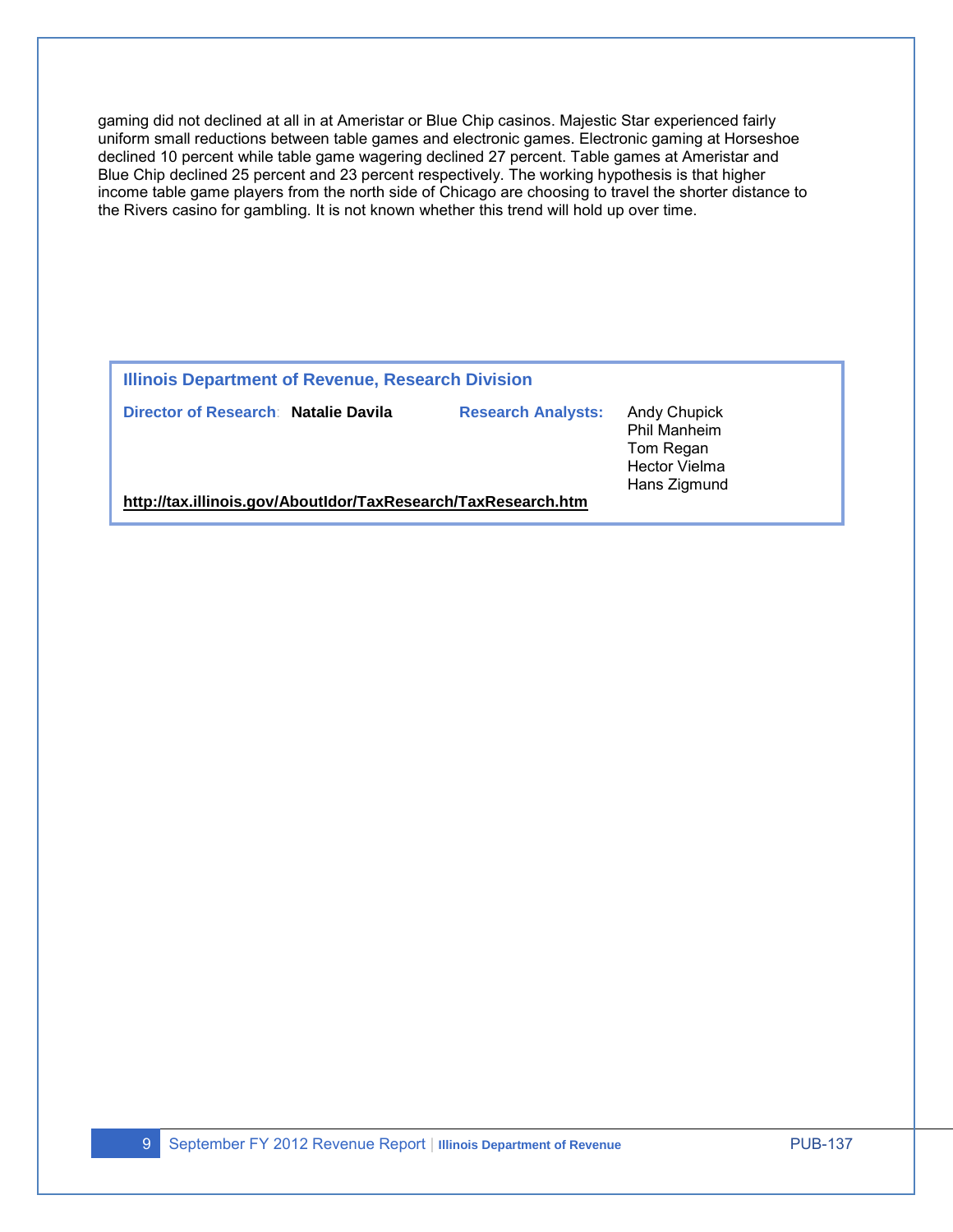gaming did not declined at all in at Ameristar or Blue Chip casinos. Majestic Star experienced fairly uniform small reductions between table games and electronic games. Electronic gaming at Horseshoe declined 10 percent while table game wagering declined 27 percent. Table games at Ameristar and Blue Chip declined 25 percent and 23 percent respectively. The working hypothesis is that higher income table game players from the north side of Chicago are choosing to travel the shorter distance to the Rivers casino for gambling. It is not known whether this trend will hold up over time.

#### **Illinois Department of Revenue, Research Division**

**Director of Research**: **Natalie Davila Research Analysts:** Andy Chupick

Phil Manheim Tom Regan Hector Vielma Hans Zigmund

**<http://tax.illinois.gov/AboutIdor/TaxResearch/TaxResearch.htm>**